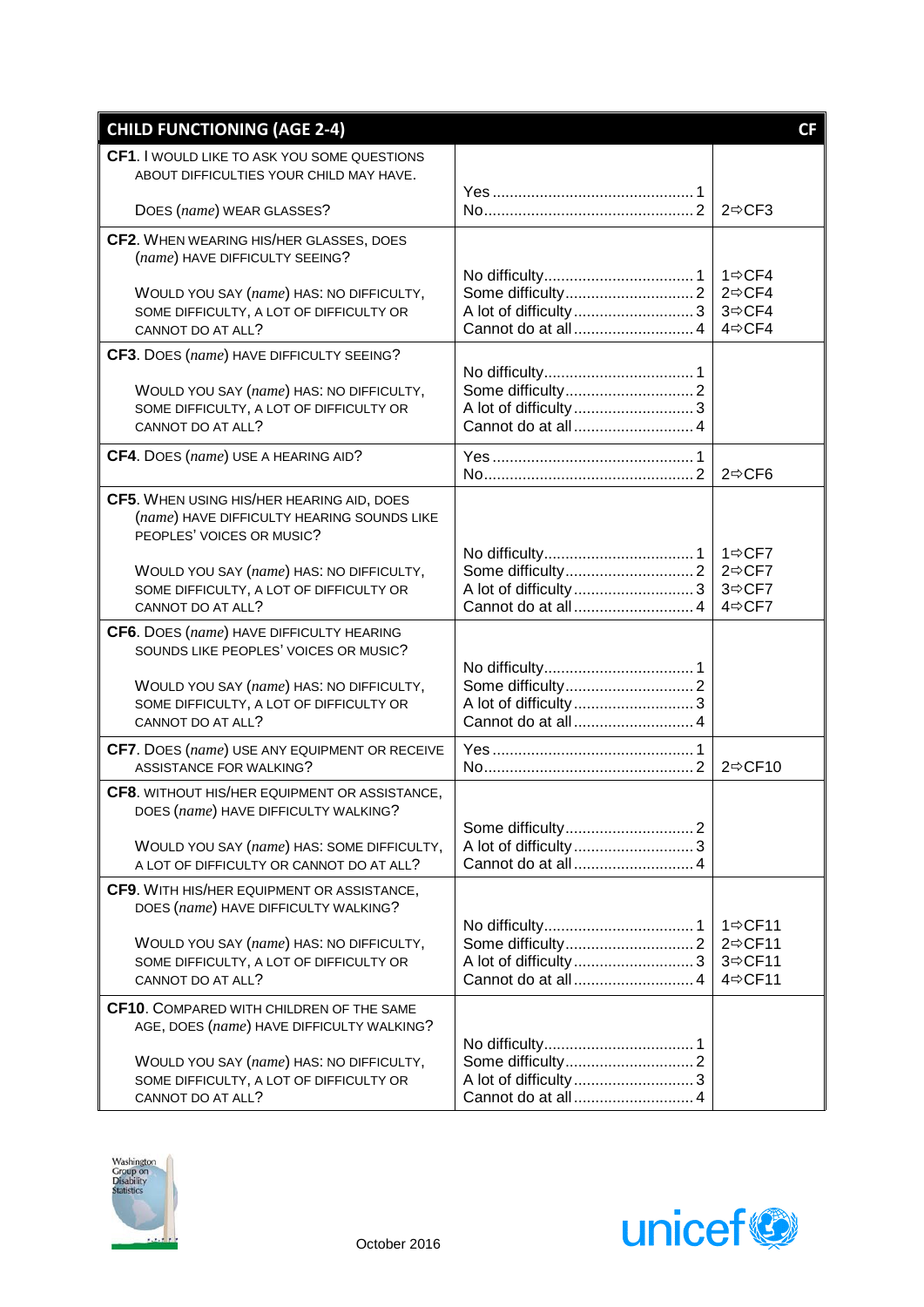| <b>CHILD FUNCTIONING (AGE 2-4)</b>                                                           |                    | CF                                     |
|----------------------------------------------------------------------------------------------|--------------------|----------------------------------------|
| CF1. I WOULD LIKE TO ASK YOU SOME QUESTIONS                                                  |                    |                                        |
| ABOUT DIFFICULTIES YOUR CHILD MAY HAVE.                                                      |                    |                                        |
| DOES (name) WEAR GLASSES?                                                                    |                    | $2 \Rightarrow CF3$                    |
| CF2. WHEN WEARING HIS/HER GLASSES, DOES                                                      |                    |                                        |
| (name) HAVE DIFFICULTY SEEING?                                                               |                    | 1 ⇔CF4                                 |
| WOULD YOU SAY (name) HAS: NO DIFFICULTY,                                                     |                    | 2⇔CF4                                  |
| SOME DIFFICULTY, A LOT OF DIFFICULTY OR<br>CANNOT DO AT ALL?                                 | Cannot do at all 4 | 3⇔CF4<br>4⇔CF4                         |
| CF3. DOES (name) HAVE DIFFICULTY SEEING?                                                     |                    |                                        |
|                                                                                              |                    |                                        |
| WOULD YOU SAY (name) HAS: NO DIFFICULTY,<br>SOME DIFFICULTY, A LOT OF DIFFICULTY OR          |                    |                                        |
| CANNOT DO AT ALL?                                                                            | Cannot do at all 4 |                                        |
| CF4. DOES (name) USE A HEARING AID?                                                          |                    |                                        |
|                                                                                              |                    | $2 \Rightarrow CFG$                    |
| CF5. WHEN USING HIS/HER HEARING AID, DOES<br>(name) HAVE DIFFICULTY HEARING SOUNDS LIKE      |                    |                                        |
| PEOPLES' VOICES OR MUSIC?                                                                    |                    |                                        |
| WOULD YOU SAY (name) HAS: NO DIFFICULTY,                                                     |                    | $1 \Rightarrow CFT$<br>2⇔CF7           |
| SOME DIFFICULTY, A LOT OF DIFFICULTY OR                                                      |                    | 3⇔CF7                                  |
| CANNOT DO AT ALL?                                                                            | Cannot do at all 4 | 4⇔CF7                                  |
| CF6. DOES (name) HAVE DIFFICULTY HEARING<br>SOUNDS LIKE PEOPLES' VOICES OR MUSIC?            |                    |                                        |
|                                                                                              |                    |                                        |
| WOULD YOU SAY (name) HAS: NO DIFFICULTY,                                                     |                    |                                        |
| SOME DIFFICULTY, A LOT OF DIFFICULTY OR<br>CANNOT DO AT ALL?                                 |                    |                                        |
| CF7. DOES (name) USE ANY EQUIPMENT OR RECEIVE                                                |                    |                                        |
| ASSISTANCE FOR WALKING?                                                                      |                    | 2 $\Leftrightarrow$ CF10               |
| CF8. WITHOUT HIS/HER EQUIPMENT OR ASSISTANCE,<br>DOES (name) HAVE DIFFICULTY WALKING?        |                    |                                        |
|                                                                                              |                    |                                        |
| WOULD YOU SAY (name) HAS: SOME DIFFICULTY,<br>A LOT OF DIFFICULTY OR CANNOT DO AT ALL?       | Cannot do at all 4 |                                        |
| CF9. WITH HIS/HER EQUIPMENT OR ASSISTANCE,                                                   |                    |                                        |
| DOES (name) HAVE DIFFICULTY WALKING?                                                         |                    |                                        |
| WOULD YOU SAY (name) HAS: NO DIFFICULTY,                                                     |                    | $1 \Rightarrow C$ F11<br>2 $\div$ CF11 |
| SOME DIFFICULTY, A LOT OF DIFFICULTY OR                                                      |                    | 3⇔CF11                                 |
| CANNOT DO AT ALL?                                                                            | Cannot do at all 4 | 4⇔CF11                                 |
| <b>CF10.</b> COMPARED WITH CHILDREN OF THE SAME<br>AGE, DOES (name) HAVE DIFFICULTY WALKING? |                    |                                        |
|                                                                                              |                    |                                        |
| WOULD YOU SAY (name) HAS: NO DIFFICULTY,                                                     |                    |                                        |
| SOME DIFFICULTY, A LOT OF DIFFICULTY OR<br>CANNOT DO AT ALL?                                 | Cannot do at all 4 |                                        |